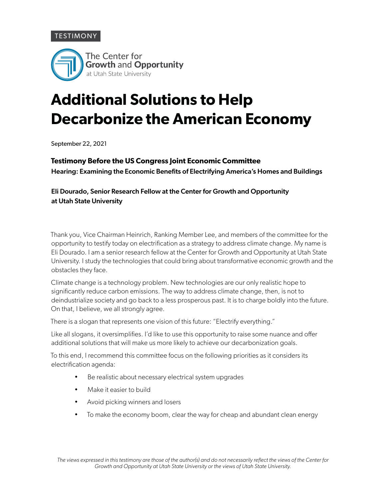## **TESTIMONY**



# **Additional Solutions to Help Decarbonize the American Economy**

September 22, 2021

### **Testimony Before the US Congress Joint Economic Committee**

Hearing: Examining the Economic Benefits of Electrifying America's Homes and Buildings

## Eli Dourado, Senior Research Fellow at the Center for Growth and Opportunity at Utah State University

Thank you, Vice Chairman Heinrich, Ranking Member Lee, and members of the committee for the opportunity to testify today on electrification as a strategy to address climate change. My name is Eli Dourado. I am a senior research fellow at the Center for Growth and Opportunity at Utah State University. I study the technologies that could bring about transformative economic growth and the obstacles they face.

Climate change is a technology problem. New technologies are our only realistic hope to significantly reduce carbon emissions. The way to address climate change, then, is not to deindustrialize society and go back to a less prosperous past. It is to charge boldly into the future. On that, I believe, we all strongly agree.

There is a slogan that represents one vision of this future: "Electrify everything."

Like all slogans, it oversimplifies. I'd like to use this opportunity to raise some nuance and offer additional solutions that will make us more likely to achieve our decarbonization goals.

To this end, I recommend this committee focus on the following priorities as it considers its electrification agenda:

- Be realistic about necessary electrical system upgrades
- Make it easier to build
- Avoid picking winners and losers
- To make the economy boom, clear the way for cheap and abundant clean energy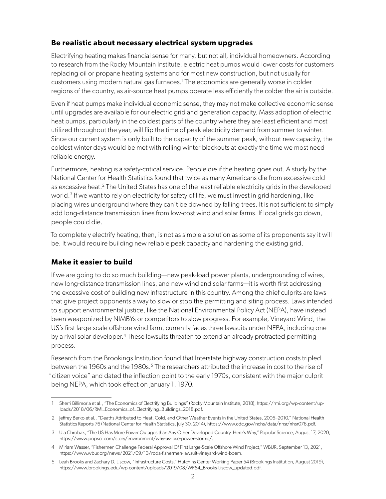## **Be realistic about necessary electrical system upgrades**

Electrifying heating makes financial sense for many, but not all, individual homeowners. According to research from the Rocky Mountain Institute, electric heat pumps would lower costs for customers replacing oil or propane heating systems and for most new construction, but not usually for customers using modern natural gas furnaces.<sup>1</sup> The economics are generally worse in colder regions of the country, as air-source heat pumps operate less efficiently the colder the air is outside.

Even if heat pumps make individual economic sense, they may not make collective economic sense until upgrades are available for our electric grid and generation capacity. Mass adoption of electric heat pumps, particularly in the coldest parts of the country where they are least efficient and most utilized throughout the year, will flip the time of peak electricity demand from summer to winter. Since our current system is only built to the capacity of the summer peak, without new capacity, the coldest winter days would be met with rolling winter blackouts at exactly the time we most need reliable energy.

Furthermore, heating is a safety-critical service. People die if the heating goes out. A study by the National Center for Health Statistics found that twice as many Americans die from excessive cold as excessive heat.<sup>2</sup> The United States has one of the least reliable electricity grids in the developed world.<sup>3</sup> If we want to rely on electricity for safety of life, we must invest in grid hardening, like placing wires underground where they can't be downed by falling trees. It is not sufficient to simply add long-distance transmission lines from low-cost wind and solar farms. If local grids go down, people could die.

To completely electrify heating, then, is not as simple a solution as some of its proponents say it will be. It would require building new reliable peak capacity and hardening the existing grid.

### **Make it easier to build**

If we are going to do so much building—new peak-load power plants, undergrounding of wires, new long-distance transmission lines, and new wind and solar farms—it is worth first addressing the excessive cost of building new infrastructure in this country. Among the chief culprits are laws that give project opponents a way to slow or stop the permitting and siting process. Laws intended to support environmental justice, like the National Environmental Policy Act (NEPA), have instead been weaponized by NIMBYs or competitors to slow progress. For example, Vineyard Wind, the US's first large-scale offshore wind farm, currently faces three lawsuits under NEPA, including one by a rival solar developer.<sup>4</sup> These lawsuits threaten to extend an already protracted permitting process.

Research from the Brookings Institution found that Interstate highway construction costs tripled between the 1960s and the 1980s.<sup>5</sup> The researchers attributed the increase in cost to the rise of "citizen voice" and dated the inflection point to the early 1970s, consistent with the major culprit being NEPA, which took effect on January 1, 1970.

<sup>1</sup> Sherri Billimoria et al., "The Economics of Electrifying Buildings" (Rocky Mountain Institute, 2018), [https://rmi.org/wp-content/up](https://rmi.org/wp-content/uploads/2018/06/RMI_Economics_of_Electrifying_Buildings_2018.pdf)[loads/2018/06/RMI\\_Economics\\_of\\_Electrifying\\_Buildings\\_2018.pdf](https://rmi.org/wp-content/uploads/2018/06/RMI_Economics_of_Electrifying_Buildings_2018.pdf).

<sup>2</sup> Jeffrey Berko et al., "Deaths Attributed to Heat, Cold, and Other Weather Events in the United States, 2006–2010," National Health Statistics Reports 76 (National Center for Health Statistics, July 30, 2014), [https://www.cdc.gov/nchs/data/nhsr/nhsr076.pdf.](https://www.cdc.gov/nchs/data/nhsr/nhsr076.pdf)

<sup>3</sup> Ula Chrobak, "The US Has More Power Outages than Any Other Developed Country. Here's Why," Popular Science, August 17, 2020, <https://www.popsci.com/story/environment/why-us-lose-power-storms/>.

<sup>4</sup> Miriam Wasser, "Fishermen Challenge Federal Approval Of First Large-Scale Offshore Wind Project," WBUR, September 13, 2021, [https://www.wbur.org/news/2021/09/13/roda-fishermen-lawsuit-vineyard-wind-boem.](https://www.wbur.org/news/2021/09/13/roda-fishermen-lawsuit-vineyard-wind-boem)

<sup>5</sup> Leah Brooks and Zachary D. Liscow, "Infrastructure Costs," Hutchins Center Working Paper 54 (Brookings Institution, August 2019), [https://www.brookings.edu/wp-content/uploads/2019/08/WP54\\_Brooks-Liscow\\_updated.pdf](https://www.brookings.edu/wp-content/uploads/2019/08/WP54_Brooks-Liscow_updated.pdf).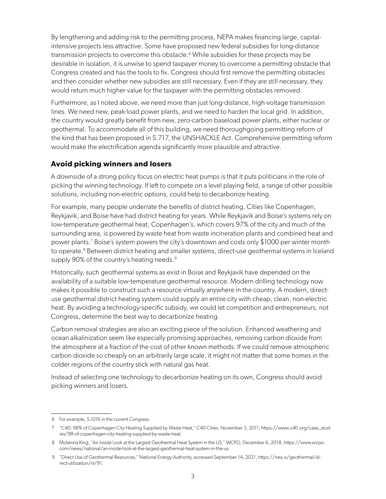By lengthening and adding risk to the permitting process, NEPA makes financing large, capitalintensive projects less attractive. Some have proposed new federal subsidies for long-distance transmission projects to overcome this obstacle.<sup>6</sup> While subsidies for these projects may be desirable in isolation, it is unwise to spend taxpayer money to overcome a permitting obstacle that Congress created and has the tools to fix. Congress should first remove the permitting obstacles and then consider whether new subsidies are still necessary. Even if they are still necessary, they would return much higher value for the taxpayer with the permitting obstacles removed.

Furthermore, as I noted above, we need more than just long-distance, high-voltage transmission lines. We need new, peak-load power plants, and we need to harden the local grid. In addition, the country would greatly benefit from new, zero-carbon baseload power plants, either nuclear or geothermal. To accommodate all of this building, we need thoroughgoing permitting reform of the kind that has been proposed in S.717, the UNSHACKLE Act. Comprehensive permitting reform would make the electrification agenda significantly more plausible and attractive.

## **Avoid picking winners and losers**

A downside of a strong policy focus on electric heat pumps is that it puts politicians in the role of picking the winning technology. If left to compete on a level playing field, a range of other possible solutions, including non-electric options, could help to decarbonize heating.

For example, many people underrate the benefits of district heating. Cities like Copenhagen, Reykjavik, and Boise have had district heating for years. While Reykjavik and Boise's systems rely on low-temperature geothermal heat, Copenhagen's, which covers 97% of the city and much of the surrounding area, is powered by waste heat from waste incineration plants and combined heat and power plants.<sup>7</sup> Boise's system powers the city's downtown and costs only \$1000 per winter month to operate.<sup>8</sup> Between district heating and smaller systems, direct-use geothermal systems in Iceland supply 90% of the country's heating needs.<sup>9</sup>

Historically, such geothermal systems as exist in Boise and Reykjavik have depended on the availability of a suitable low-temperature geothermal resource. Modern drilling technology now makes it possible to construct such a resource virtually anywhere in the country. A modern, directuse geothermal district heating system could supply an entire city with cheap, clean, non-electric heat. By avoiding a technology-specific subsidy, we could let competition and entrepreneurs, not Congress, determine the best way to decarbonize heating.

Carbon removal strategies are also an exciting piece of the solution. Enhanced weathering and ocean alkalinization seem like especially promising approaches, removing carbon dioxide from the atmosphere at a fraction of the cost of other known methods. If we could remove atmospheric carbon dioxide so cheaply on an arbitrarily large scale, it might not matter that some homes in the colder regions of the country stick with natural gas heat.

Instead of selecting one technology to decarbonize heating on its own, Congress should avoid picking winners and losers.

<sup>6</sup> For example, S.1016 in the current Congress.

<sup>7</sup> "C40: 98% of Copenhagen City Heating Supplied by Waste Heat," C40 Cities, November 3, 2011, [https://www.c40.org/case\\_stud](https://www.c40.org/case_studies/98-of-copenhagen-city-heating-supplied-by-waste-heat)[ies/98-of-copenhagen-city-heating-supplied-by-waste-heat](https://www.c40.org/case_studies/98-of-copenhagen-city-heating-supplied-by-waste-heat).

<sup>8</sup> Mckenna King, "An inside Look at the Largest Geothermal Heat System in the US," WCPO, December 6, 2018, [https://www.wcpo.](https://www.wcpo.com/news/national/an-inside-look-at-the-largest-geothermal-heat-system-in-the-us) [com/news/national/an-inside-look-at-the-largest-geothermal-heat-system-in-the-us.](https://www.wcpo.com/news/national/an-inside-look-at-the-largest-geothermal-heat-system-in-the-us)

<sup>9</sup> "Direct Use of Geothermal Resources," National Energy Authority, accessed September 14, 2021, [https://nea.is/geothermal/di](https://nea.is/geothermal/direct-utilization/nr/91)[rect-utilization/nr/91.](https://nea.is/geothermal/direct-utilization/nr/91)